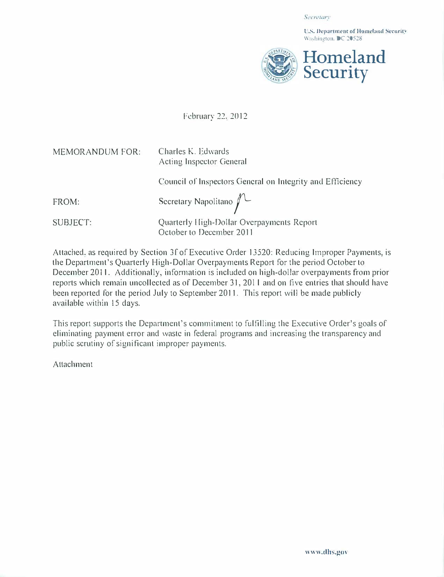Secretary

l'.S. Ocpartment of llomcland Sccurit' Washington. DC 20528



February 22. 2012

| <b>MEMORANDUM FOR:</b> | Charles K. Edwards<br>Acting Inspector General                        |
|------------------------|-----------------------------------------------------------------------|
|                        | Council of Inspectors General on Integrity and Efficiency             |
| FROM:                  | Secretary Napolitano $\bigwedge$                                      |
| SUBJECT:               | Quarterly High-Dollar Overpayments Report<br>October to December 2011 |

Attached, as required by Section 3f of Executive Order 13520: Reducing Improper Payments, is the Department's Quarterly High-Dollar Overpayments Report for the period October to December 2011. Additionally, information is included on high-dollar overpayments from prior reports which remain uncollected as of December 31, 2011 and on five entries that should have been reported for the period July to September 2011. This report will be made publicly available within 15 days.

This report supports the Department's commitment to fulfilling the Executive Order's goals of eliminating payment error and waste in federal programs and increasing the transparency and public scrutiny of significant improper payments.

Attachment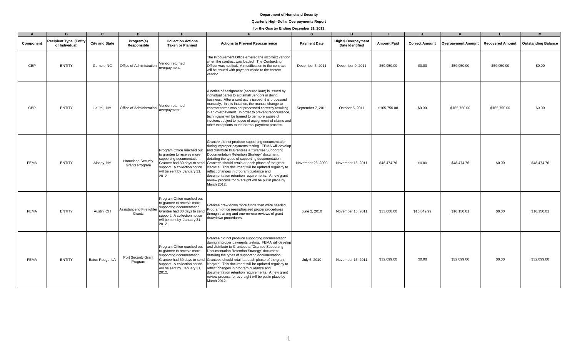## **Quarterly High-Dollar Overpayments Report**

| A           | $\mathbf{B}$                                    | $\mathbf{C}$          | D                                          | F                                                                                                                                                                                            |                                                                                                                                                                                                                                                                                                                                                                                                                                                                                                                                                                               | G                   | н                                                    |                    |                       |                           |                         | M                          |
|-------------|-------------------------------------------------|-----------------------|--------------------------------------------|----------------------------------------------------------------------------------------------------------------------------------------------------------------------------------------------|-------------------------------------------------------------------------------------------------------------------------------------------------------------------------------------------------------------------------------------------------------------------------------------------------------------------------------------------------------------------------------------------------------------------------------------------------------------------------------------------------------------------------------------------------------------------------------|---------------------|------------------------------------------------------|--------------------|-----------------------|---------------------------|-------------------------|----------------------------|
| Component   | <b>Recipient Type (Entity</b><br>or Individual) | <b>City and State</b> | Program(s)<br>Responsible                  | <b>Collection Actions</b><br><b>Taken or Planned</b>                                                                                                                                         | <b>Actions to Prevent Reoccurrence</b>                                                                                                                                                                                                                                                                                                                                                                                                                                                                                                                                        | <b>Payment Date</b> | <b>High \$ Overpayment</b><br><b>Date Identified</b> | <b>Amount Paid</b> | <b>Correct Amount</b> | <b>Overpayment Amount</b> | <b>Recovered Amount</b> | <b>Outstanding Balance</b> |
| <b>CBP</b>  | <b>ENTITY</b>                                   | Gerner, NC            | Office of Administration                   | Vendor returned<br>overpavment.                                                                                                                                                              | The Procurement Office entered the incorrect vendor<br>when the contract was loaded. The Contracting<br>Officer was notified. A modification to the contract<br>will be issued with payment made to the correct<br>vendor.                                                                                                                                                                                                                                                                                                                                                    | December 5, 2011    | December 9, 2011                                     | \$59,950.00        | \$0.00                | \$59,950.00               | \$59,950.00             | \$0.00                     |
| CBP         | <b>ENTITY</b>                                   | Laurel, NY            | Office of Administration                   | Vendor returned<br>overpayment.                                                                                                                                                              | A notice of assignment (secured loan) is issued by<br>individual banks to aid small vendors in doing<br>business. After a contract is issued, it is processed<br>manually. In this instance, the manual change to<br>contract terms was not processed correctly resulting<br>in an overpayment. In order to prevent reoccurrence,<br>technicians will be trained to be more aware of<br>invoices subject to notice of assignment of claims and<br>other exceptions to the normal payment process.                                                                             | September 7, 2011   | October 5, 2011                                      | \$165,750.00       | \$0.00                | \$165,750.00              | \$165,750.00            | \$0.00                     |
| <b>FEMA</b> | <b>ENTITY</b>                                   | Albany, NY            | <b>Homeland Security</b><br>Grants Program | Program Office reached out<br>to grantee to receive more<br>supporting documentation.<br>Grantee had 30 days to send<br>support. A collection notice<br>will be sent by January 31,<br>2012. | Grantee did not produce supporting documentation<br>during improper payments testing. FEMA will develop<br>and distribute to Grantees a "Grantee Supporting<br>Documentation Retention Strategy" document<br>detailing the types of supporting documentation<br>Grantees should retain at each phase of the grant<br>lifecycle. This document will be updated regularly to<br>reflect changes in program guidance and<br>documentation retention requirements. A new grant<br>review process for oversight will be put in place by<br>March 2012.                             | November 23, 2009   | November 15, 2011                                    | \$48,474.76        | \$0.00                | \$48,474.76               | \$0.00                  | \$48,474.76                |
| <b>FEMA</b> | <b>ENTITY</b>                                   | Austin, OH            | <b>Assistance to Firefighter</b><br>Grants | Program Office reached out<br>to grantee to receive more<br>supporting documentation.<br>Grantee had 30 days to send<br>support. A collection notice<br>will be sent by January 31,<br>2012. | Grantee drew down more funds than were needed.<br>Program office reemphasized proper procedures<br>through training and one-on-one reviews of grant<br>drawdown procedures.                                                                                                                                                                                                                                                                                                                                                                                                   | June 2, 2010        | November 15, 2011                                    | \$33,000.00        | \$16,849.99           | \$16,150.01               | \$0.00                  | \$16,150.01                |
| <b>FEMA</b> | <b>ENTITY</b>                                   | Baton Rouge, LA       | Port Security Grant<br>Program             | Program Office reached out<br>to grantee to receive more<br>supporting documentation.<br>support. A collection notice<br>will be sent by January 31,<br>2012.                                | Grantee did not produce supporting documentation<br>during improper payments testing. FEMA will develop<br>and distribute to Grantees a "Grantee Supporting<br>Documentation Retention Strategy" document<br>detailing the types of supporting documentation<br>Grantee had 30 days to send Grantees should retain at each phase of the grant<br>lifecycle. This document will be updated regularly to<br>reflect changes in program guidance and<br>documentation retention requirements. A new grant<br>review process for oversight will be put in place by<br>March 2012. | July 6, 2010        | November 15, 2011                                    | \$32,099.00        | \$0.00                | \$32,099.00               | \$0.00                  | \$32,099.00                |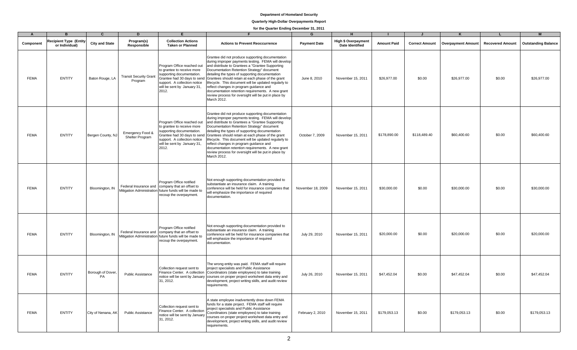# **Quarterly High-Dollar Overpayments Report**

| $\Delta$    | R                                               | $\mathbf{c}$            | D                                        |                                                                                                                                                                   |                                                                                                                                                                                                                                                                                                                                                                                                                                                                                                                                                                               | G                   |                                                      |                    |                       |                    |                         |                            |
|-------------|-------------------------------------------------|-------------------------|------------------------------------------|-------------------------------------------------------------------------------------------------------------------------------------------------------------------|-------------------------------------------------------------------------------------------------------------------------------------------------------------------------------------------------------------------------------------------------------------------------------------------------------------------------------------------------------------------------------------------------------------------------------------------------------------------------------------------------------------------------------------------------------------------------------|---------------------|------------------------------------------------------|--------------------|-----------------------|--------------------|-------------------------|----------------------------|
| Component   | <b>Recipient Type (Entity</b><br>or Individual) | <b>City and State</b>   | Program(s)<br>Responsible                | <b>Collection Actions</b><br><b>Taken or Planned</b>                                                                                                              | <b>Actions to Prevent Reoccurrence</b>                                                                                                                                                                                                                                                                                                                                                                                                                                                                                                                                        | <b>Payment Date</b> | <b>High \$ Overpayment</b><br><b>Date Identified</b> | <b>Amount Paid</b> | <b>Correct Amount</b> | Overpayment Amount | <b>Recovered Amount</b> | <b>Outstanding Balance</b> |
| <b>FEMA</b> | <b>ENTITY</b>                                   | Baton Rouge, LA         | <b>Transit Security Grant</b><br>Program | Program Office reached out<br>to grantee to receive more<br>supporting documentation.<br>support. A collection notice<br>will be sent by January 31,<br>2012.     | Grantee did not produce supporting documentation<br>during improper payments testing. FEMA will develop<br>and distribute to Grantees a "Grantee Supporting<br>Documentation Retention Strategy" document<br>detailing the types of supporting documentation<br>Grantee had 30 days to send Grantees should retain at each phase of the grant<br>lifecycle. This document will be updated regularly to<br>reflect changes in program guidance and<br>documentation retention requirements. A new grant<br>review process for oversight will be put in place by<br>March 2012. | June 8, 2010        | November 15, 2011                                    | \$26,977.00        | \$0.00                | \$26,977.00        | \$0.00                  | \$26,977.00                |
| <b>FEMA</b> | <b>ENTITY</b>                                   | Bergen County, NJ       | Emergency Food &<br>Shelter Program      | Program Office reached out<br>to grantee to receive more<br>supporting documentation.<br>support. A collection notice<br>will be sent by January 31,<br>2012.     | Grantee did not produce supporting documentation<br>during improper payments testing. FEMA will develop<br>and distribute to Grantees a "Grantee Supporting<br>Documentation Retention Strategy" document<br>detailing the types of supporting documentation<br>Grantee had 30 days to send Grantees should retain at each phase of the grant<br>lifecycle. This document will be updated regularly to<br>reflect changes in program guidance and<br>documentation retention requirements. A new grant<br>review process for oversight will be put in place by<br>March 2012. | October 7, 2009     | November 15, 2011                                    | \$178,890.00       | \$118,489.40          | \$60,400.60        | \$0.00                  | \$60,400.60                |
| <b>FEMA</b> | <b>ENTITY</b>                                   | Bloomington, IN         |                                          | Program Office notified<br>Federal Insurance and company that an offset to<br>Mitigation Administration future funds will be made to<br>recoup the overpayment.   | Not enough supporting documentation provided to<br>substantiate an insurance claim. A training<br>conference will be held for insurance companies that<br>will emphasize the importance of required<br>documentation.                                                                                                                                                                                                                                                                                                                                                         | November 18, 2009   | November 15, 2011                                    | \$30,000.00        | \$0.00                | \$30,000.00        | \$0.00                  | \$30,000.00                |
| <b>FEMA</b> | <b>ENTITY</b>                                   | Bloomington, IN         |                                          | Program Office notified<br>Federal Insurance and   company that an offset to<br>Mitigation Administration future funds will be made to<br>recoup the overpayment. | Not enough supporting documentation provided to<br>substantiate an insurance claim. A training<br>conference will be held for insurance companies that<br>will emphasize the importance of required<br>documentation.                                                                                                                                                                                                                                                                                                                                                         | July 29, 2010       | November 15, 2011                                    | \$20,000.00        | \$0.00                | \$20,000.00        | \$0.00                  | \$20,000.00                |
| <b>FEMA</b> | <b>ENTITY</b>                                   | Borough of Dover,<br>PA | <b>Public Assistance</b>                 | Collection request sent to<br>Finance Center. A collection<br>31, 2012.                                                                                           | The wrong entity was paid. FEMA staff will require<br>project specialists and Public Assistance<br>Coordinators (state employees) to take training<br>notice will be sent by January courses on proper project worksheet data entry and<br>development, project writing skills, and audit review<br>requirements.                                                                                                                                                                                                                                                             | July 26, 2010       | November 15, 2011                                    | \$47,452.04        | \$0.00                | \$47,452.04        | \$0.00                  | \$47.452.04                |
| <b>FEMA</b> | <b>ENTITY</b>                                   | City of Nenana, AK      | <b>Public Assistance</b>                 | Collection request sent to<br>Finance Center. A collection<br>notice will be sent by January<br>31, 2012.                                                         | A state employee inadvertently drew down FEMA<br>funds for a state project. FEMA staff will require<br>project specialists and Public Assistance<br>Coordinators (state employees) to take training<br>courses on proper project worksheet data entry and<br>development, project writing skills, and audit review<br>requirements.                                                                                                                                                                                                                                           | February 2, 2010    | November 15, 2011                                    | \$179,053.13       | \$0.00                | \$179,053.13       | \$0.00                  | \$179,053.13               |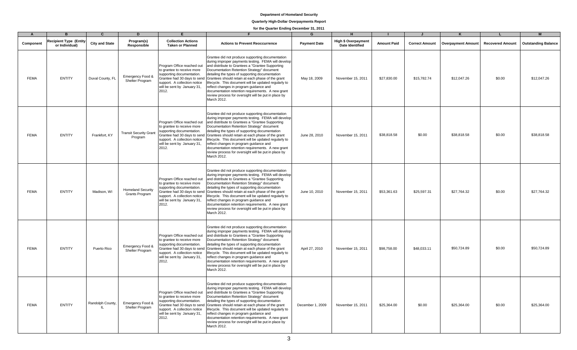# **Quarterly High-Dollar Overpayments Report**

| $\overline{A}$ | <b>B</b>                                        | $\mathbf{C}$          | D                                          | F.                                                                                                                                                                                           |                                                                                                                                                                                                                                                                                                                                                                                                                                                                                                                                                                               | G                   | H                                             |                    |                       |                           |                         | M                          |
|----------------|-------------------------------------------------|-----------------------|--------------------------------------------|----------------------------------------------------------------------------------------------------------------------------------------------------------------------------------------------|-------------------------------------------------------------------------------------------------------------------------------------------------------------------------------------------------------------------------------------------------------------------------------------------------------------------------------------------------------------------------------------------------------------------------------------------------------------------------------------------------------------------------------------------------------------------------------|---------------------|-----------------------------------------------|--------------------|-----------------------|---------------------------|-------------------------|----------------------------|
| Component      | <b>Recipient Type (Entity</b><br>or Individual) | <b>City and State</b> | Program(s)<br>Responsible                  | <b>Collection Actions</b><br><b>Taken or Planned</b>                                                                                                                                         | <b>Actions to Prevent Reoccurrence</b>                                                                                                                                                                                                                                                                                                                                                                                                                                                                                                                                        | <b>Payment Date</b> | High \$ Overpayment<br><b>Date Identified</b> | <b>Amount Paid</b> | <b>Correct Amount</b> | <b>Overpayment Amount</b> | <b>Recovered Amount</b> | <b>Outstanding Balance</b> |
| <b>FEMA</b>    | <b>ENTITY</b>                                   | Duval County, FL      | Emergency Food &<br>Shelter Program        | Program Office reached out<br>to grantee to receive more<br>supporting documentation.<br>support. A collection notice<br>will be sent by January 31,<br>2012.                                | Grantee did not produce supporting documentation<br>during improper payments testing. FEMA will develop<br>and distribute to Grantees a "Grantee Supporting<br>Documentation Retention Strategy" document<br>detailing the types of supporting documentation<br>Grantee had 30 days to send Grantees should retain at each phase of the grant<br>lifecycle. This document will be updated regularly to<br>reflect changes in program guidance and<br>documentation retention requirements. A new grant<br>review process for oversight will be put in place by<br>March 2012. | May 18, 2009        | November 15, 2011                             | \$27,830.00        | \$15,782.74           | \$12,047.26               | \$0.00                  | \$12,047.26                |
| <b>FEMA</b>    | <b>ENTITY</b>                                   | Frankfort, KY         | <b>Transit Security Grant</b><br>Program   | Program Office reached out<br>to grantee to receive more<br>supporting documentation.<br>support. A collection notice<br>will be sent by January 31,<br>2012.                                | Grantee did not produce supporting documentation<br>during improper payments testing. FEMA will develop<br>and distribute to Grantees a "Grantee Supporting<br>Documentation Retention Strategy" document<br>detailing the types of supporting documentation<br>Grantee had 30 days to send Grantees should retain at each phase of the grant<br>lifecycle. This document will be updated regularly to<br>reflect changes in program guidance and<br>documentation retention requirements. A new grant<br>review process for oversight will be put in place by<br>March 2012. | June 28, 2010       | November 15, 2011                             | \$38,818.58        | \$0.00                | \$38,818.58               | \$0.00                  | \$38,818.58                |
| <b>FEMA</b>    | <b>ENTITY</b>                                   | Madison, WI           | <b>Homeland Security</b><br>Grants Program | Program Office reached out<br>to grantee to receive more<br>supporting documentation.<br>support. A collection notice<br>will be sent by January 31,<br>2012.                                | Grantee did not produce supporting documentation<br>during improper payments testing. FEMA will develop<br>and distribute to Grantees a "Grantee Supporting<br>Documentation Retention Strategy" document<br>detailing the types of supporting documentation<br>Grantee had 30 days to send Grantees should retain at each phase of the grant<br>lifecycle. This document will be updated regularly to<br>reflect changes in program guidance and<br>documentation retention requirements. A new grant<br>review process for oversight will be put in place by<br>March 2012. | June 10, 2010       | November 15, 2011                             | \$53,361.63        | \$25,597.31           | \$27,764.32               | \$0.00                  | \$27,764.32                |
| <b>FEMA</b>    | <b>ENTITY</b>                                   | Puerto Rico           | Emergency Food &<br>Shelter Program        | Program Office reached out<br>to grantee to receive more<br>supporting documentation.<br>Grantee had 30 days to send<br>support. A collection notice<br>will be sent by January 31,<br>2012. | Grantee did not produce supporting documentation<br>during improper payments testing. FEMA will develop<br>and distribute to Grantees a "Grantee Supporting<br>Documentation Retention Strategy" document<br>detailing the types of supporting documentation<br>Grantees should retain at each phase of the grant<br>lifecycle. This document will be updated regularly to<br>reflect changes in program guidance and<br>documentation retention requirements. A new grant<br>review process for oversight will be put in place by<br>March 2012.                             | April 27, 2010      | November 15, 2011                             | \$98,758.00        | \$48,033.11           | \$50,724.89               | \$0.00                  | \$50,724.89                |
| <b>FEMA</b>    | <b>ENTITY</b>                                   | Randolph County,      | Emergency Food &<br>Shelter Program        | Program Office reached out<br>to grantee to receive more<br>supporting documentation.<br>support. A collection notice<br>will be sent by January 31,<br>2012.                                | Grantee did not produce supporting documentation<br>during improper payments testing. FEMA will develop<br>and distribute to Grantees a "Grantee Supporting<br>Documentation Retention Strategy" document<br>detailing the types of supporting documentation<br>Grantee had 30 days to send Grantees should retain at each phase of the grant<br>lifecycle. This document will be updated regularly to<br>reflect changes in program guidance and<br>documentation retention requirements. A new grant<br>review process for oversight will be put in place by<br>March 2012. | December 1, 2009    | November 15, 2011                             | \$25,364.00        | \$0.00                | \$25,364.00               | \$0.00                  | \$25,364.00                |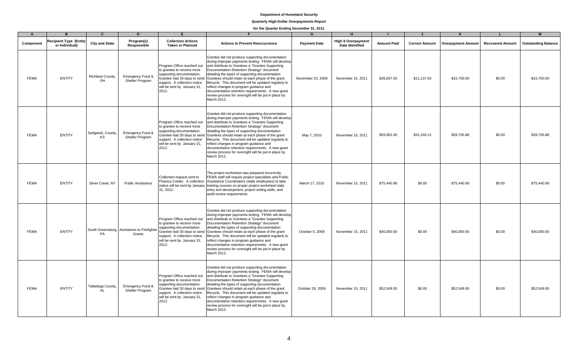# **Quarterly High-Dollar Overpayments Report**

| $\overline{A}$ |                                          | $\mathbf{C}$            | D                                                     |                                                                                                                                                               |                                                                                                                                                                                                                                                                                                                                                                                                                                                                                                                                                                                | G                   |                                                      |                    |                       |                    |                         |                            |
|----------------|------------------------------------------|-------------------------|-------------------------------------------------------|---------------------------------------------------------------------------------------------------------------------------------------------------------------|--------------------------------------------------------------------------------------------------------------------------------------------------------------------------------------------------------------------------------------------------------------------------------------------------------------------------------------------------------------------------------------------------------------------------------------------------------------------------------------------------------------------------------------------------------------------------------|---------------------|------------------------------------------------------|--------------------|-----------------------|--------------------|-------------------------|----------------------------|
| Component      | Recipient Type (Entity<br>or Individual) | <b>City and State</b>   | Program(s)<br>Responsible                             | <b>Collection Actions</b><br><b>Taken or Planned</b>                                                                                                          | <b>Actions to Prevent Reoccurrence</b>                                                                                                                                                                                                                                                                                                                                                                                                                                                                                                                                         | <b>Payment Date</b> | <b>High \$ Overpayment</b><br><b>Date Identified</b> | <b>Amount Paid</b> | <b>Correct Amount</b> | Overpayment Amount | <b>Recovered Amount</b> | <b>Outstanding Balance</b> |
| <b>FEMA</b>    | <b>ENTITY</b>                            | Richland County,<br>OH  | Emergency Food &<br><b>Shelter Program</b>            | Program Office reached out<br>to grantee to receive more<br>supporting documentation.<br>support. A collection notice<br>will be sent by January 31,<br>2012. | Grantee did not produce supporting documentation<br>during improper payments testing. FEMA will develop<br>and distribute to Grantees a "Grantee Supporting"<br>Documentation Retention Strategy" document<br>detailing the types of supporting documentation<br>Grantee had 30 days to send Grantees should retain at each phase of the grant<br>lifecycle. This document will be updated regularly to<br>reflect changes in program guidance and<br>documentation retention requirements. A new grant<br>review process for oversight will be put in place by<br>March 2012. | November 23, 2009   | November 15, 2011                                    | \$26,837.50        | \$11,137.50           | \$15,700.00        | \$0.00                  | \$15,700.00                |
| <b>FEMA</b>    | <b>ENTITY</b>                            | Sedgwick, County,<br>KS | Emergency Food &<br><b>Shelter Program</b>            | Program Office reached out<br>to grantee to receive more<br>supporting documentation.<br>support. A collection notice<br>will be sent by January 31,<br>2012. | Grantee did not produce supporting documentation<br>during improper payments testing. FEMA will develop<br>and distribute to Grantees a "Grantee Supporting<br>Documentation Retention Strategy" document<br>detailing the types of supporting documentation<br>Grantee had 30 days to send Grantees should retain at each phase of the grant<br>lifecycle. This document will be updated regularly to<br>reflect changes in program guidance and<br>documentation retention requirements. A new grant<br>review process for oversight will be put in place by<br>March 2012.  | May 7, 2010         | November 15, 2011                                    | \$59,952.00        | \$31,246.12           | \$28,705.88        | \$0.00                  | \$28,705.88                |
| <b>FEMA</b>    | <b>ENTITY</b>                            | Silver Creek, NY        | <b>Public Assistance</b>                              | Collection request sent to<br>31, 2012.                                                                                                                       | The project worksheet was prepared incorrectly.<br>FEMA staff will require project specialists and Public<br>Finance Center. A collection Assistance Coordinators (state employees) to take<br>notice will be sent by January training courses on proper project worksheet data<br>entry and development, project writing skills, and<br>audit review requirements.                                                                                                                                                                                                            | March 17, 2010      | November 15, 2011                                    | \$75,440.99        | \$0.00                | \$75,440.99        | \$0.00                  | \$75,440.99                |
| <b>FEMA</b>    | <b>ENTITY</b>                            | PA                      | South Greensburg, Assistance to Firefighter<br>Grants | Program Office reached out<br>to grantee to receive more<br>supporting documentation.<br>support. A collection notice<br>will be sent by January 31,<br>2012. | Grantee did not produce supporting documentation<br>during improper payments testing. FEMA will develop<br>and distribute to Grantees a "Grantee Supporting"<br>Documentation Retention Strategy" document<br>detailing the types of supporting documentation<br>Grantee had 30 days to send Grantees should retain at each phase of the grant<br>lifecycle. This document will be updated regularly to<br>reflect changes in program guidance and<br>documentation retention requirements. A new grant<br>review process for oversight will be put in place by<br>March 2012. | October 5, 2009     | November 15, 2011                                    | \$40,000.00        | \$0.00                | \$40,000.00        | \$0.00                  | \$40,000.00                |
| <b>FEMA</b>    | <b>ENTITY</b>                            | Talladega County,<br>ΔI | Emergency Food &<br>Shelter Program                   | Program Office reached out<br>to grantee to receive more<br>supporting documentation.<br>support. A collection notice<br>will be sent by January 31,<br>2012. | Grantee did not produce supporting documentation<br>during improper payments testing. FEMA will develop<br>and distribute to Grantees a "Grantee Supporting"<br>Documentation Retention Strategy" document<br>detailing the types of supporting documentation<br>Grantee had 30 days to send Grantees should retain at each phase of the grant<br>lifecycle. This document will be updated regularly to<br>reflect changes in program guidance and<br>documentation retention requirements. A new grant<br>review process for oversight will be put in place by<br>March 2012. | October 28, 2009    | November 15, 2011                                    | \$52,549.00        | \$0.00                | \$52,549.00        | \$0.00                  | \$52,549.00                |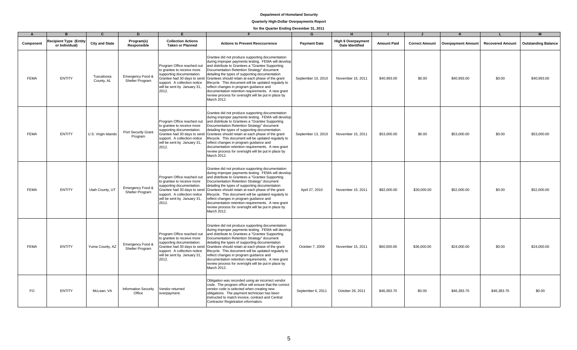## **Quarterly High-Dollar Overpayments Report**

| $\Delta$    | R                                        | $\mathbf{C}$             | D                                          | Е                                                                                                                                                             |                                                                                                                                                                                                                                                                                                                                                                                                                                                                                                                                                                               | G                   | H                                                    |                    |                       |                           |                         | M                          |
|-------------|------------------------------------------|--------------------------|--------------------------------------------|---------------------------------------------------------------------------------------------------------------------------------------------------------------|-------------------------------------------------------------------------------------------------------------------------------------------------------------------------------------------------------------------------------------------------------------------------------------------------------------------------------------------------------------------------------------------------------------------------------------------------------------------------------------------------------------------------------------------------------------------------------|---------------------|------------------------------------------------------|--------------------|-----------------------|---------------------------|-------------------------|----------------------------|
| Component   | Recipient Type (Entity<br>or Individual) | <b>City and State</b>    | Program(s)<br>Responsible                  | <b>Collection Actions</b><br><b>Taken or Planned</b>                                                                                                          | <b>Actions to Prevent Reoccurrence</b>                                                                                                                                                                                                                                                                                                                                                                                                                                                                                                                                        | <b>Payment Date</b> | <b>High \$ Overpayment</b><br><b>Date Identified</b> | <b>Amount Paid</b> | <b>Correct Amount</b> | <b>Overpayment Amount</b> | <b>Recovered Amount</b> | <b>Outstanding Balance</b> |
| <b>FEMA</b> | <b>ENTITY</b>                            | Tuscaloosa<br>County, AL | Emergency Food &<br><b>Shelter Program</b> | Program Office reached out<br>to grantee to receive more<br>supporting documentation.<br>support. A collection notice<br>will be sent by January 31,<br>2012. | Grantee did not produce supporting documentation<br>during improper payments testing. FEMA will develop<br>and distribute to Grantees a "Grantee Supporting<br>Documentation Retention Strategy" document<br>detailing the types of supporting documentation<br>Grantee had 30 days to send Grantees should retain at each phase of the grant<br>lifecycle. This document will be updated regularly to<br>reflect changes in program guidance and<br>documentation retention requirements. A new grant<br>review process for oversight will be put in place by<br>March 2012. | September 10, 2010  | November 15, 2011                                    | \$40,993.00        | \$0.00                | \$40,993.00               | \$0.00                  | \$40,993.00                |
| <b>FEMA</b> | <b>ENTITY</b>                            | U.S. Virgin Islands      | Port Security Grant<br>Program             | Program Office reached out<br>to grantee to receive more<br>supporting documentation.<br>support. A collection notice<br>will be sent by January 31,<br>2012. | Grantee did not produce supporting documentation<br>during improper payments testing. FEMA will develop<br>and distribute to Grantees a "Grantee Supporting<br>Documentation Retention Strategy" document<br>detailing the types of supporting documentation<br>Grantee had 30 days to send Grantees should retain at each phase of the grant<br>lifecycle. This document will be updated regularly to<br>reflect changes in program guidance and<br>documentation retention requirements. A new grant<br>review process for oversight will be put in place by<br>March 2012. | September 13, 2010  | November 15, 2011                                    | \$53,000.00        | \$0.00                | \$53,000.00               | \$0.00                  | \$53,000.00                |
| <b>FEMA</b> | <b>ENTITY</b>                            | Utah County, UT          | Emergency Food &<br>Shelter Program        | Program Office reached out<br>to grantee to receive more<br>supporting documentation.<br>support. A collection notice<br>will be sent by January 31,<br>2012. | Grantee did not produce supporting documentation<br>during improper payments testing. FEMA will develop<br>and distribute to Grantees a "Grantee Supporting<br>Documentation Retention Strategy" document<br>detailing the types of supporting documentation<br>Grantee had 30 days to send Grantees should retain at each phase of the grant<br>lifecycle. This document will be updated regularly to<br>reflect changes in program guidance and<br>documentation retention requirements. A new grant<br>review process for oversight will be put in place by<br>March 2012. | April 27, 2010      | November 15, 2011                                    | \$82,000.00        | \$30,000.00           | \$52,000.00               | \$0.00                  | \$52,000.00                |
| <b>FEMA</b> | <b>ENTITY</b>                            | Yuma County, AZ          | Emergency Food &<br>Shelter Program        | Program Office reached out<br>to grantee to receive more<br>supporting documentation.<br>support. A collection notice<br>will be sent by January 31,<br>2012. | Grantee did not produce supporting documentation<br>during improper payments testing. FEMA will develop<br>and distribute to Grantees a "Grantee Supporting<br>Documentation Retention Strategy" document<br>detailing the types of supporting documentation<br>Grantee had 30 days to send Grantees should retain at each phase of the grant<br>lifecycle. This document will be updated regularly to<br>reflect changes in program guidance and<br>documentation retention requirements. A new grant<br>review process for oversight will be put in place by<br>March 2012. | October 7, 2009     | November 15, 2011                                    | \$60,000.00        | \$36,000.00           | \$24,000.00               | \$0.00                  | \$24,000.00                |
| <b>FO</b>   | <b>ENTITY</b>                            | McLean, VA               | <b>Information Security</b><br>Office      | Vendor returned<br>overpayment.                                                                                                                               | Obligation was recorded using an incorrect vendor<br>code. The program office will ensure that the correct<br>vendor code is selected when creating new<br>obligations. The payment technician has been<br>instructed to match invoice, contract and Central<br>Contractor Registration information.                                                                                                                                                                                                                                                                          | September 6, 2011   | October 26, 2011                                     | \$46,383.70        | \$0.00                | \$46,383.70               | \$46,383.70             | \$0.00                     |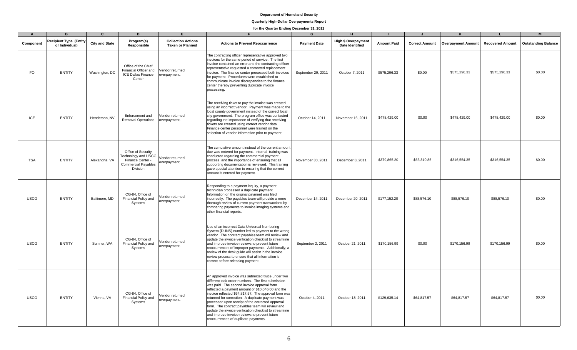## **Quarterly High-Dollar Overpayments Report**

| $\overline{A}$ | B                                        | $\mathbf{C}$          | D                                                                                                       | F.                                                   |                                                                                                                                                                                                                                                                                                                                                                                                                                                                                                                                                                                    | G                   | H                                                    |                    |                       |                           |                         | M                          |
|----------------|------------------------------------------|-----------------------|---------------------------------------------------------------------------------------------------------|------------------------------------------------------|------------------------------------------------------------------------------------------------------------------------------------------------------------------------------------------------------------------------------------------------------------------------------------------------------------------------------------------------------------------------------------------------------------------------------------------------------------------------------------------------------------------------------------------------------------------------------------|---------------------|------------------------------------------------------|--------------------|-----------------------|---------------------------|-------------------------|----------------------------|
| Component      | Recipient Type (Entity<br>or Individual) | <b>City and State</b> | Program(s)<br>Responsible                                                                               | <b>Collection Actions</b><br><b>Taken or Planned</b> | <b>Actions to Prevent Reoccurrence</b>                                                                                                                                                                                                                                                                                                                                                                                                                                                                                                                                             | <b>Payment Date</b> | <b>High \$ Overpayment</b><br><b>Date Identified</b> | <b>Amount Paid</b> | <b>Correct Amount</b> | <b>Overpayment Amount</b> | <b>Recovered Amount</b> | <b>Outstanding Balance</b> |
| FO.            | <b>ENTITY</b>                            | Washington, DC        | Office of the Chief<br>Financial Officer and<br><b>ICE Dallas Finance</b><br>Center                     | Vendor returned<br>overpayment.                      | The contracting officer representative approved two<br>invoices for the same period of service. The first<br>invoice contained an error and the contracting officer<br>representative requested a corrected replacement<br>invoice. The finance center processed both invoices<br>for payment. Procedures were established to<br>communicate invoice discrepancies to the finance<br>center thereby preventing duplicate invoice<br>processing.                                                                                                                                    | September 29, 2011  | October 7, 2011                                      | \$575,296.33       | \$0.00                | \$575,296.33              | \$575,296.33            | \$0.00                     |
| ICE            | <b>ENTITY</b>                            | Henderson, NV         | Enforcement and<br><b>Removal Operations</b>                                                            | Vendor returned<br>overpayment.                      | The receiving ticket to pay the invoice was created<br>using an incorrect vendor. Payment was made to the<br>local county government instead of the correct local<br>city government. The program office was contacted<br>regarding the importance of verifying that receiving<br>tickets are created using correct vendor data.<br>Finance center personnel were trained on the<br>selection of vendor information prior to payment.                                                                                                                                              | October 14, 2011    | November 16, 2011                                    | \$478,429.00       | \$0.00                | \$478,429.00              | \$478,429.00            | \$0.00                     |
| <b>TSA</b>     | <b>ENTITY</b>                            | Alexandria, VA        | Office of Security<br>Technology and USCG<br>Finance Center -<br><b>Commercial Payables</b><br>Division | Vendor returned<br>overpayment.                      | The cumulative amount instead of the current amount<br>due was entered for payment. Internal training was<br>conducted regarding the commercial payment<br>process and the importance of ensuring that all<br>supporting documentation is reviewed. This training<br>gave special attention to ensuring that the correct<br>amount is entered for payment.                                                                                                                                                                                                                         | November 30, 2011   | December 8, 2011                                     | \$379,865.20       | \$63,310.85           | \$316,554.35              | \$316,554.35            | \$0.00                     |
| <b>USCG</b>    | <b>ENTITY</b>                            | Baltimore, MD         | CG-84. Office of<br>Financial Policy and<br>Systems                                                     | Vendor returned<br>overpayment.                      | Responding to a payment inquiry, a payment<br>technician processed a duplicate payment.<br>Information on the original payment was filed<br>incorrectly. The payables team will provide a more<br>thorough review of current payment transactions by<br>comparing payments to invoice imaging systems and<br>other financial reports.                                                                                                                                                                                                                                              | December 14, 2011   | December 20, 2011                                    | \$177,152.20       | \$88,576.10           | \$88,576.10               | \$88,576.10             | \$0.00                     |
| <b>USCG</b>    | <b>ENTITY</b>                            | Sumner, WA            | CG-84, Office of<br>Financial Policy and<br>Systems                                                     | Vendor returned<br>overpayment.                      | Use of an incorrect Data Universal Numbering<br>System (DUNS) number led to payment to the wrong<br>vendor. The contract payables team will review and<br>update the invoice verification checklist to streamline<br>and improve invoice reviews to prevent future<br>reoccurrences of improper payments. Additionally, a<br>review of the desk guide will assist in the invoice<br>review process to ensure that all information is<br>correct before releasing payment.                                                                                                          | September 2, 2011   | October 21, 2011                                     | \$170,156.99       | \$0.00                | \$170,156.99              | \$170,156.99            | \$0.00                     |
| <b>USCG</b>    | <b>ENTITY</b>                            | Vienna, VA            | CG-84. Office of<br>Financial Policy and<br>Systems                                                     | Vendor returned<br>overpayment.                      | An approved invoice was submitted twice under two<br>different task order numbers. The first submission<br>was paid. The second invoice approval form<br>reflected a payment amount of \$10,046.00 and the<br>invoice reflected \$64,817.57. The approval form was<br>returned for correction. A duplicate payment was<br>processed upon receipt of the corrected approval<br>form. The contract payables team will review and<br>update the invoice verification checklist to streamline<br>and improve invoice reviews to prevent future<br>reoccurrences of duplicate payments. | October 4, 2011     | October 18, 2011                                     | \$129,635.14       | \$64,817.57           | \$64,817.57               | \$64,817.57             | \$0.00                     |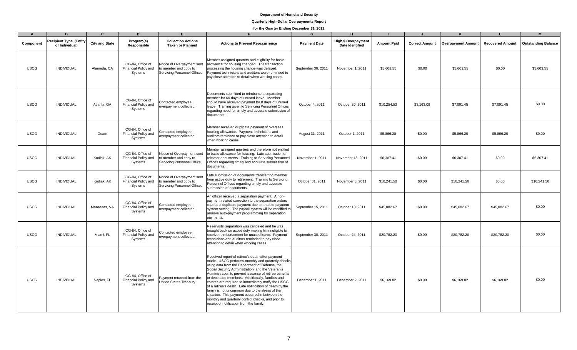# **Quarterly High-Dollar Overpayments Report**

| $\mathsf{A}$ | B                                               | C                     | D                                                   | Е                                                                                         |                                                                                                                                                                                                                                                                                                                                                                                                                                                                                                                                                                                                                                                    | G                   | н                                                    |                    |                       | ĸ                         |                         | M                          |
|--------------|-------------------------------------------------|-----------------------|-----------------------------------------------------|-------------------------------------------------------------------------------------------|----------------------------------------------------------------------------------------------------------------------------------------------------------------------------------------------------------------------------------------------------------------------------------------------------------------------------------------------------------------------------------------------------------------------------------------------------------------------------------------------------------------------------------------------------------------------------------------------------------------------------------------------------|---------------------|------------------------------------------------------|--------------------|-----------------------|---------------------------|-------------------------|----------------------------|
| Component    | <b>Recipient Type (Entity</b><br>or Individual) | <b>City and State</b> | Program(s)<br>Responsible                           | <b>Collection Actions</b><br><b>Taken or Planned</b>                                      | <b>Actions to Prevent Reoccurrence</b>                                                                                                                                                                                                                                                                                                                                                                                                                                                                                                                                                                                                             | <b>Payment Date</b> | <b>High \$ Overpayment</b><br><b>Date Identified</b> | <b>Amount Paid</b> | <b>Correct Amount</b> | <b>Overpayment Amount</b> | <b>Recovered Amount</b> | <b>Outstanding Balance</b> |
| <b>USCG</b>  | <b>INDIVIDUAL</b>                               | Alameda, CA           | CG-84, Office of<br>Financial Policy and<br>Systems | Notice of Overpayment sent<br>to member and copy to<br>Servicing Personnel Office.        | Member assigned quarters and eligibility for basic<br>allowance for housing changed. The transaction<br>processing the housing change was delayed.<br>Payment technicians and auditors were reminded to<br>pay close attention to detail when working cases.                                                                                                                                                                                                                                                                                                                                                                                       | September 30, 2011  | November 1, 2011                                     | \$5,603.55         | \$0.00                | \$5,603.55                | \$0.00                  | \$5,603.55                 |
| <b>USCG</b>  | <b>INDIVIDUAL</b>                               | Atlanta, GA           | CG-84, Office of<br>Financial Policy and<br>Systems | Contacted employee,<br>overpayment collected.                                             | Documents submitted to reimburse a separating<br>member for 60 days of unused leave. Member<br>should have received payment for 8 days of unused<br>leave. Training given to Servicing Personnel Offices<br>regarding need for timely and accurate submission of<br>documents.                                                                                                                                                                                                                                                                                                                                                                     | October 4, 2011     | October 20, 2011                                     | \$10,254.53        | \$3,163.08            | \$7,091.45                | \$7,091.45              | \$0.00                     |
| <b>USCG</b>  | INDIVIDUAL                                      | Guam                  | CG-84. Office of<br>Financial Policy and<br>Systems | Contacted employee,<br>overpayment collected.                                             | Member received duplicate payment of overseas<br>housing allowance. Payment technicians and<br>auditors reminded to pay close attention to detail<br>when working cases.                                                                                                                                                                                                                                                                                                                                                                                                                                                                           | August 31, 2011     | October 1, 2011                                      | \$5,866.20         | \$0.00                | \$5,866.20                | \$5,866.20              | \$0.00                     |
| <b>USCG</b>  | INDIVIDUAL                                      | Kodiak, AK            | CG-84, Office of<br>Financial Policy and<br>Systems | Notice of Overpayment sent<br>to member and copy to<br>Servicing Personnel Office.        | Member assigned quarters and therefore not entitled<br>to basic allowance for housing. Late submission of<br>relevant documents. Training to Servicing Personnel<br>Offices regarding timely and accurate submission of<br>documents.                                                                                                                                                                                                                                                                                                                                                                                                              | November 1, 2011    | November 18, 2011                                    | \$6,307.41         | \$0.00                | \$6,307.41                | \$0.00                  | \$6,307.41                 |
| <b>USCG</b>  | <b>INDIVIDUAL</b>                               | Kodiak, AK            | CG-84. Office of<br>Financial Policy and<br>Systems | <b>Notice of Overpayment sent</b><br>to member and copy to<br>Servicing Personnel Office. | Late submission of documents transferring member<br>from active duty to retirement. Training to Servicing<br>Personnel Offices regarding timely and accurate<br>submission of documents.                                                                                                                                                                                                                                                                                                                                                                                                                                                           | October 31, 2011    | November 8, 2011                                     | \$10,241.50        | \$0.00                | \$10,241.50               | \$0.00                  | \$10,241.50                |
| <b>USCG</b>  | <b>INDIVIDUAL</b>                               | Manassas, VA          | CG-84. Office of<br>Financial Policy and<br>Systems | Contacted employee,<br>overpayment collected.                                             | An officer received a separation payment. A non-<br>payment related correction to the separation orders<br>caused a duplicate payment due to an auto-payment<br>system setting. The payroll system will be modified to<br>remove auto-payment programming for separation<br>payments.                                                                                                                                                                                                                                                                                                                                                              | September 15, 2011  | October 13, 2011                                     | \$45,082.67        | \$0.00                | \$45,082.67               | \$45,082.67             | \$0.00                     |
| <b>USCG</b>  | <b>INDIVIDUAL</b>                               | Miami, FL             | CG-84, Office of<br>Financial Policy and<br>Systems | Contacted employee,<br>overpayment collected.                                             | Reservists' separation was canceled and he was<br>brought back on active duty making him ineligible to<br>receive reimbursement for unused leave. Payment<br>technicians and auditors reminded to pay close<br>attention to detail when working cases.                                                                                                                                                                                                                                                                                                                                                                                             | September 30, 2011  | October 24, 2011                                     | \$20,782.20        | \$0.00                | \$20,782.20               | \$20,782.20             | \$0.00                     |
| <b>USCG</b>  | INDIVIDUAL                                      | Naples, FL            | CG-84, Office of<br>Financial Policy and<br>Systems | Payment returned from the<br>United States Treasury.                                      | Received report of retiree's death after payment<br>made. USCG performs monthly and quarterly checks<br>using data from the Department of Defense, the<br>Social Security Administration, and the Veteran's<br>Administration to prevent issuance of retiree benefits<br>to deceased members. Additionally, families and<br>estates are required to immediately notify the USCG<br>of a retiree's death. Late notification of death by the<br>family is not uncommon due to the stress of the<br>situation. This payment occurred in between the<br>monthly and quarterly control checks, and prior to<br>receipt of notification from the family. | December 1, 2011    | December 2, 2011                                     | \$6,169.82         | \$0.00                | \$6,169.82                | \$6,169.82              | \$0.00                     |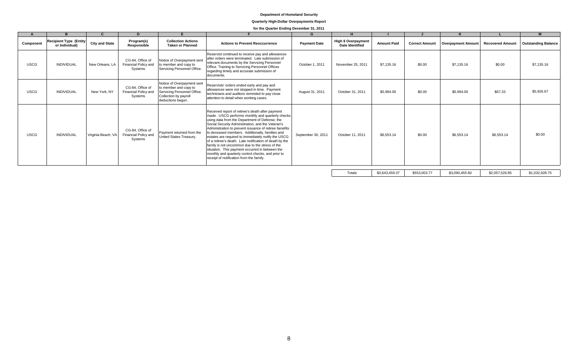## **Quarterly High-Dollar Overpayments Report**

# **for the Quarter Ending December 31, 2011**

| <b>Recipient Type (Entity)</b><br><b>Collection Actions</b><br><b>High \$ Overpayment</b><br>Program(s)<br><b>City and State</b><br><b>Amount Paid</b><br><b>Actions to Prevent Reoccurrence</b><br><b>Correct Amount</b><br><b>Outstanding Balance</b><br><b>Payment Date</b><br><b>Overpayment Amount</b><br><b>Recovered Amount</b><br>Component<br><b>Date Identified</b><br>or Individual)<br><b>Taken or Planned</b><br>Responsible<br>Reservist continued to receive pay and allowances<br>after orders were terminated. Late submission of<br>CG-84, Office of<br>Notice of Overpayment sent<br>relevant documents by the Servicing Personnel<br>\$7,135.16<br><b>USCG</b><br><b>INDIVIDUAL</b><br>Financial Policy and<br>\$0.00<br>\$0.00<br>New Orleans, LA<br>to member and copy to<br>October 1, 2011<br>November 25, 2011<br>\$7,135.16<br>\$7,135.16<br>Office. Training to Servicing Personnel Offices<br>Servicing Personnel Office.<br>Systems<br>regarding timely and accurate submission of<br>documents.<br>Notice of Overpayment sent<br>Reservists' orders ended early and pay and<br>CG-84, Office of<br>to member and copy to<br>allowances were not stopped in time. Payment<br>\$5,926.67<br><b>USCG</b><br>Servicing Personnel Office.<br>\$0.00<br>\$67.33<br><b>INDIVIDUAL</b><br>New York, NY<br>August 31, 2011<br>\$5,994.00<br>\$5.994.00<br><b>Financial Policy and</b><br>October 31, 2011<br>technicians and auditors reminded to pay close<br>Collection by payroll<br>Systems<br>attention to detail when working cases.<br>deductions begun.<br>Received report of retiree's death after payment<br>made. USCG performs monthly and quarterly checks<br>using data from the Department of Defense, the<br>Social Security Administration, and the Veteran's<br>Administration to prevent issuance of retiree benefits<br>CG-84, Office of<br>Payment returned from the<br>to deceased members. Additionally, families and<br><b>USCG</b><br>Financial Policy and<br>\$0.00<br>\$6,553.14<br>\$0.00<br><b>INDIVIDUAL</b><br>Virginia Beach, VA<br>September 30, 2011<br>\$6,553.14<br>\$6,553.14<br>October 11, 2011<br>United States Treasurv.<br>estates are required to immediately notify the USCG<br>Systems<br>of a retiree's death. Late notification of death by the<br>family is not uncommon due to the stress of the<br>situation. This payment occurred in between the<br>monthly and quarterly control checks, and prior to<br>receipt of notification from the family.<br>the company's company's company's |  | D. |  | G | H |  |  | M |
|------------------------------------------------------------------------------------------------------------------------------------------------------------------------------------------------------------------------------------------------------------------------------------------------------------------------------------------------------------------------------------------------------------------------------------------------------------------------------------------------------------------------------------------------------------------------------------------------------------------------------------------------------------------------------------------------------------------------------------------------------------------------------------------------------------------------------------------------------------------------------------------------------------------------------------------------------------------------------------------------------------------------------------------------------------------------------------------------------------------------------------------------------------------------------------------------------------------------------------------------------------------------------------------------------------------------------------------------------------------------------------------------------------------------------------------------------------------------------------------------------------------------------------------------------------------------------------------------------------------------------------------------------------------------------------------------------------------------------------------------------------------------------------------------------------------------------------------------------------------------------------------------------------------------------------------------------------------------------------------------------------------------------------------------------------------------------------------------------------------------------------------------------------------------------------------------------------------------------------------------------------------------------------------------------------------------------------------------------------------------------------------------------------------------------------------------------------------------------------------------------------------------------------------------------------------|--|----|--|---|---|--|--|---|
|                                                                                                                                                                                                                                                                                                                                                                                                                                                                                                                                                                                                                                                                                                                                                                                                                                                                                                                                                                                                                                                                                                                                                                                                                                                                                                                                                                                                                                                                                                                                                                                                                                                                                                                                                                                                                                                                                                                                                                                                                                                                                                                                                                                                                                                                                                                                                                                                                                                                                                                                                                  |  |    |  |   |   |  |  |   |
|                                                                                                                                                                                                                                                                                                                                                                                                                                                                                                                                                                                                                                                                                                                                                                                                                                                                                                                                                                                                                                                                                                                                                                                                                                                                                                                                                                                                                                                                                                                                                                                                                                                                                                                                                                                                                                                                                                                                                                                                                                                                                                                                                                                                                                                                                                                                                                                                                                                                                                                                                                  |  |    |  |   |   |  |  |   |
|                                                                                                                                                                                                                                                                                                                                                                                                                                                                                                                                                                                                                                                                                                                                                                                                                                                                                                                                                                                                                                                                                                                                                                                                                                                                                                                                                                                                                                                                                                                                                                                                                                                                                                                                                                                                                                                                                                                                                                                                                                                                                                                                                                                                                                                                                                                                                                                                                                                                                                                                                                  |  |    |  |   |   |  |  |   |
|                                                                                                                                                                                                                                                                                                                                                                                                                                                                                                                                                                                                                                                                                                                                                                                                                                                                                                                                                                                                                                                                                                                                                                                                                                                                                                                                                                                                                                                                                                                                                                                                                                                                                                                                                                                                                                                                                                                                                                                                                                                                                                                                                                                                                                                                                                                                                                                                                                                                                                                                                                  |  |    |  |   |   |  |  |   |
|                                                                                                                                                                                                                                                                                                                                                                                                                                                                                                                                                                                                                                                                                                                                                                                                                                                                                                                                                                                                                                                                                                                                                                                                                                                                                                                                                                                                                                                                                                                                                                                                                                                                                                                                                                                                                                                                                                                                                                                                                                                                                                                                                                                                                                                                                                                                                                                                                                                                                                                                                                  |  |    |  |   |   |  |  |   |

Totals \$3,643,459.37 \$553,003.77 \$3,090,455.60 \$2,057,526.85 \$1,032,928.75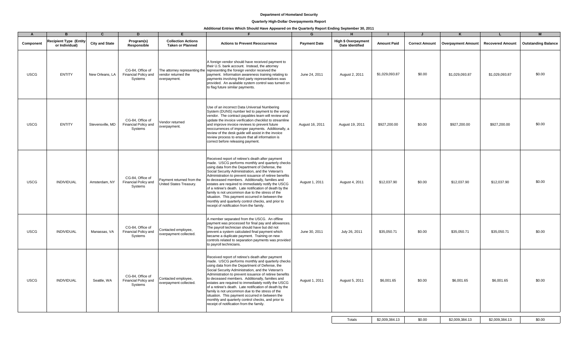#### **Quarterly High-Dollar Overpayments Report**

# **Additional Entries Which Should Have Appeared on the Quarterly Report Ending September 30, 2011**

| $\overline{A}$ | B.                                              | $\mathbf{C}$          | D                                                   | F                                                    |                                                                                                                                                                                                                                                                                                                                                                                                                                                                                                                                                                                                                                                    | G                   | H                                             |                    |                       |                           |                         | M                          |
|----------------|-------------------------------------------------|-----------------------|-----------------------------------------------------|------------------------------------------------------|----------------------------------------------------------------------------------------------------------------------------------------------------------------------------------------------------------------------------------------------------------------------------------------------------------------------------------------------------------------------------------------------------------------------------------------------------------------------------------------------------------------------------------------------------------------------------------------------------------------------------------------------------|---------------------|-----------------------------------------------|--------------------|-----------------------|---------------------------|-------------------------|----------------------------|
| Component      | <b>Recipient Type (Entity</b><br>or Individual) | <b>City and State</b> | Program(s)<br>Responsible                           | <b>Collection Actions</b><br><b>Taken or Planned</b> | <b>Actions to Prevent Reoccurrence</b>                                                                                                                                                                                                                                                                                                                                                                                                                                                                                                                                                                                                             | <b>Payment Date</b> | <b>High \$ Overpayment</b><br>Date Identified | <b>Amount Paid</b> | <b>Correct Amount</b> | <b>Overpayment Amount</b> | <b>Recovered Amount</b> | <b>Outstanding Balance</b> |
| <b>USCG</b>    | <b>ENTITY</b>                                   | New Orleans, LA       | CG-84. Office of<br>Financial Policy and<br>Systems | vendor returned the<br>overpayment.                  | A foreign vendor should have received payment to<br>their U.S. bank account. Instead, the attorney<br>The attorney representing the representing the foreign vendor received the<br>payment. Information awareness training relating to<br>payments involving third party representatives was<br>provided. An available system control was turned on<br>to flag future similar payments.                                                                                                                                                                                                                                                           | June 24, 2011       | August 2, 2011                                | \$1,029,093.87     | \$0.00                | \$1,029,093.87            | \$1,029,093.87          | \$0.00                     |
| <b>USCG</b>    | <b>ENTITY</b>                                   | Stevensville, MD      | CG-84, Office of<br>Financial Policy and<br>Systems | Vendor returned<br>overpayment.                      | Use of an incorrect Data Universal Numbering<br>System (DUNS) number led to payment to the wrong<br>vendor. The contract payables team will review and<br>update the invoice verification checklist to streamline<br>and improve invoice reviews to prevent future<br>reoccurrences of improper payments. Additionally, a<br>review of the desk guide will assist in the invoice<br>review process to ensure that all information is<br>correct before releasing payment.                                                                                                                                                                          | August 16, 2011     | August 19, 2011                               | \$927,200.00       | \$0.00                | \$927,200.00              | \$927,200.00            | \$0.00                     |
| <b>USCG</b>    | <b>INDIVIDUAL</b>                               | Amsterdam, NY         | CG-84, Office of<br>Financial Policy and<br>Systems | Payment returned from the<br>United States Treasury. | Received report of retiree's death after payment<br>made. USCG performs monthly and quarterly checks<br>using data from the Department of Defense, the<br>Social Security Administration, and the Veteran's<br>Administration to prevent issuance of retiree benefits<br>to deceased members. Additionally, families and<br>estates are required to immediately notify the USCG<br>of a retiree's death. Late notification of death by the<br>family is not uncommon due to the stress of the<br>situation. This payment occurred in between the<br>monthly and quarterly control checks, and prior to<br>receipt of notification from the family. | August 1, 2011      | August 4, 2011                                | \$12,037.90        | \$0.00                | \$12,037.90               | \$12,037.90             | \$0.00                     |
| <b>USCG</b>    | <b>INDIVIDUAL</b>                               | Manassas, VA          | CG-84, Office of<br>Financial Policy and<br>Systems | Contacted employee,<br>overpayment collected.        | A member separated from the USCG. An offline<br>payment was processed for final pay and allowances.<br>The payroll technician should have but did not<br>prevent a system calculated final payment which<br>became a duplicate payment. Training on new<br>controls related to separation payments was provided<br>to payroll technicians.                                                                                                                                                                                                                                                                                                         | June 30, 2011       | July 26, 2011                                 | \$35,050.71        | \$0.00                | \$35,050.71               | \$35,050.71             | \$0.00                     |
| <b>USCG</b>    | <b>INDIVIDUAL</b>                               | Seattle, WA           | CG-84, Office of<br>Financial Policy and<br>Systems | Contacted employee,<br>overpayment collected.        | Received report of retiree's death after payment<br>made. USCG performs monthly and quarterly checks<br>using data from the Department of Defense, the<br>Social Security Administration, and the Veteran's<br>Administration to prevent issuance of retiree benefits<br>to deceased members. Additionally, families and<br>estates are required to immediately notify the USCG<br>of a retiree's death. Late notification of death by the<br>family is not uncommon due to the stress of the<br>situation. This payment occurred in between the<br>monthly and quarterly control checks, and prior to<br>receipt of notification from the family. | August 1, 2011      | August 5, 2011                                | \$6,001.65         | \$0.00                | \$6,001.65                | \$6,001.65              | \$0.00                     |

Totals \$2,009,384.13 \$0.00 \$2,009,384.13 \$2,009,384.13 \$0.00